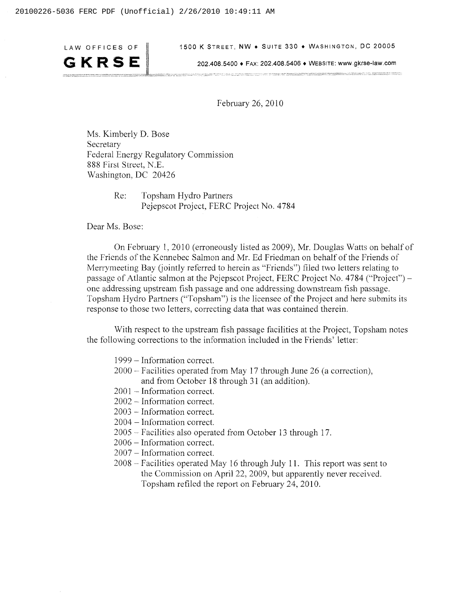GKRSE

LAW OFFICES OF | 1500 K STREET, NW • SUITE 330 • WASHINGTON, DC 20005

ー<br>アールルール / project / definition of the contract / with the first definition of the project decompany projected and first first the first of the first of the first of the first of the first

202.408 5400 + FAX: 202.408 5406 **t** WEBSITE' **www** gkrse-law.com **--I** -~- -

February 26, 2010

Ms. Kimberly D. Bose Secretary Federal Energy Regulatory Commission 888 First Street, N.E. Washington, DC 20426

> Re: Topsham Hydro Partners Pejepscot Project, FERC Project No. 4784

Dear Ms. Bose:

On February 1, 20 10 (erroneously listed as 2009), Mr. Douglas Watts on behalf of the Friends of the Kennebec Salmon and Mr. Ed Friedman on behalf of the Friends of Merrymeeting Bay ('jointly referred to herein as "Friends") filed two letters relating to passage of Atlantic salmon at the Pejepscot Project, FERC Project No. 4784 ("Project") one addressing upstream fish passage and one addressing downstream fish passage. Topsham Hydro Partners ("Topsham") is the licensee of the Project and here submits its response to those two letters, correcting data that was contained therein.

With respect to the upstream fish passage facilities at the Project, Topsham notes the following corrections to the information included in the Friends' letter:

- <sup>1999</sup> Information correct.
- <sup>2000</sup> Facilities operated from May 17 through June 26 (a correction), and from October 18 through 31 (an addition).
- $2001$  Information correct.
- <sup>2002</sup> Information correct.
- <sup>2003</sup> Information correct.
- <sup>2004</sup> Information correct.
- <sup>2005</sup> Facilities also operated from October 13 through 17.
- <sup>2006</sup> Information correct.
- <sup>2007</sup> Information correct.
- <sup>2008</sup> Facilities operated May 16 through July 1 1. This report was sent to the Commission on April 22, 2009, but apparently never received. Topsham refiled the report on February 24, 2010.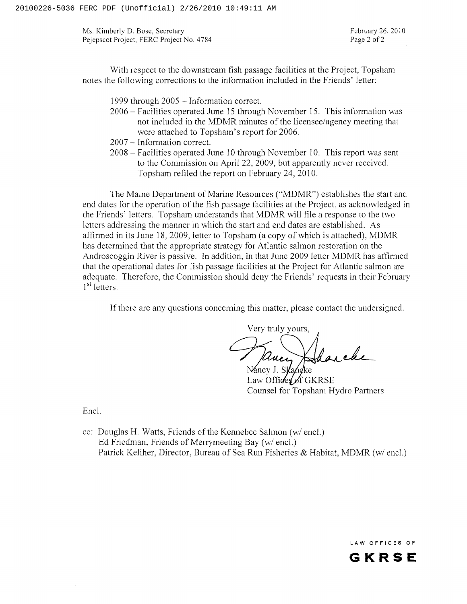Ms. Kimberly D. Bose, Secretary Pejepscot Project, FERC Project No. 4784

February 26, 20 10 Page 2 of 2

With respect to the downstream fish passage facilities at the Project, Topsham notes the following corrections to the information included in the Friends' letter:

1999 through 2005 - Information correct.

- <sup>2006</sup> Facilities operated June 15 through November 15. This information was not included in the MDMR minutes of the licensee/agency meeting that were attached to Topsham's report for 2006.
- <sup>2007</sup> Information correct.
- <sup>2008</sup> Facilities operated June 10 through November 10. This report was sent to the Commission on April 22, 2009, but apparently never received. Topsham refiled the report on February 24,2010.

The Maine Department of Marine Resources ("MDMR") establishes the start and end dates for the operation of the fish passage facilities at the Project, as acknowledged in the Friends' letters. Topsham understands that MDMR will file a response to the two letters addressing the manner in which the start and end dates are established. As affirmed in its June 18,2009, letter to Topsham (a copy of which is attached), MDMR has determined that the appropriate strategy for Atlantic salmon restoration on the Androscoggin River is passive. In addition, in that June 2009 letter MDMR has affirmed that the operational dates for fish passage facilities at the Project for Atlantic salmon are adequate. Therefore, the Commission should deny the Friends' requests in their February  $1<sup>st</sup>$  letters.

If there are any questions concerning this matter, please contact the undersigned.

Very truly yours, Pancy

Nancy J. Ska Law Office of  $f$  GKRSE Counsel for Topsham Hydro Partners

Encl.

cc: Douglas H. Watts, Friends of the Kennebec Salmon (w/ encl.) Ed Friedman, Friends of Merrymeeting Bay (w/ encl.) Patrick Keliher, Director, Bureau of Sea Run Fisheries & Habitat, MDMR (w/ encl.)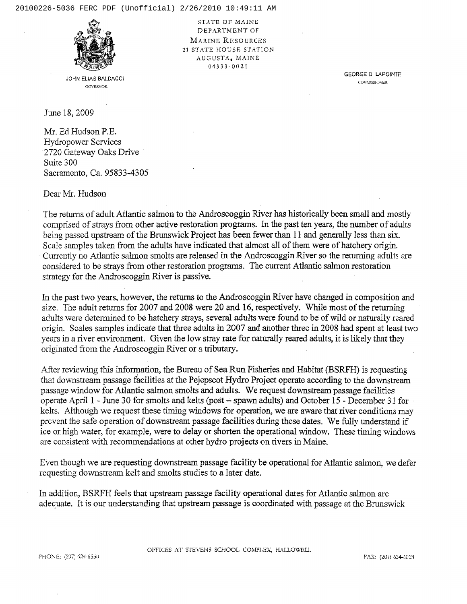

JOHN ELtAS BALDACCI GOVERNOR

STATE OF MAINE DEPARTMENT OF MARINE RESOURCES 21 STATE HOUSE STATION AUGUSTA, MAINE 04333-0021

> GEORGE D. LAPOINTE **COMMISSIONER**

June 18,2009

**Mr.** Ed Hudson P.E. Hydropower Services 2720 Gateway Oaks Drive Suite 300 Sacramento, Ca. 95833-4305

Dear Mr. Hudson

The returns of adult Atlantic salmon to the Androscoggin River has historically been small and mostly comprised of strays from other active restoration **programs.** In the past ten years, the number of adults being passed upstream of the Brunswick Project has been fewer than 11 and generally less than six. Scale samples taken from the adults have indicated that almost all of them were of hatchery origin. Currently no Atlantic salmon smolts are released **in** the Androscoggh River so the returning adults ae considered to be strays from other restoration programs. The current Atlantic salmon restoration strategy for the Androscoggin River is passive.

Ln the past two years, however, the returns to the Androscoggin River have changed in composition and size. The adult returns for 2007 **and** 2008 were 20 and **16,** respectively. While most of the rehuning adults were determined to be hatchery strays, several adults were found to be of wild or naturally reared origin. Scales samples indicate that three adults **in** 2007 and mother three 2008 had spent at Ieast two years in a river environment, Given the low stray rate for naturally reared adults, it is likely *that* they originated from the Androscoggin River or a tributary.

After reviewing *this* information, the Bureau of Sea Run Fisheries **and** Habitat (BSRFH) is requesting that downstream passage facilities at the Pejepscot Hydro Project operate according to the downstream passage window for Atlantic salmon smolts and adults. We request downstream passage facilities operate April 1 - June 30 for smolts and kelts (post - spawn adults) and October **15** - December **3** 1 for kelts. ALthough we request these timing windows for operation, we are aware that river conditions may prevent the safe operation of downstream passage facilities during these dates. We fully understand if ice or high water, for example, were to delay or shorten the operational window. These timing windows are consistent with recommendations at other hydro projects on rivers **in** Maine.

Even though we are requesting downstream passage facility be operational for Atlantic salmon, we defer requesting downstream kelt and smolts studies to a later date.

In addition, BSRFH feels that upstream passage facility operational dates for Atlantic salmon are adequate. It is our understanding that upstream passage is coordinated with passage at the Brunswick

OFFICES AT STEVENS SCHOOL COMPLEX, HALLOWELL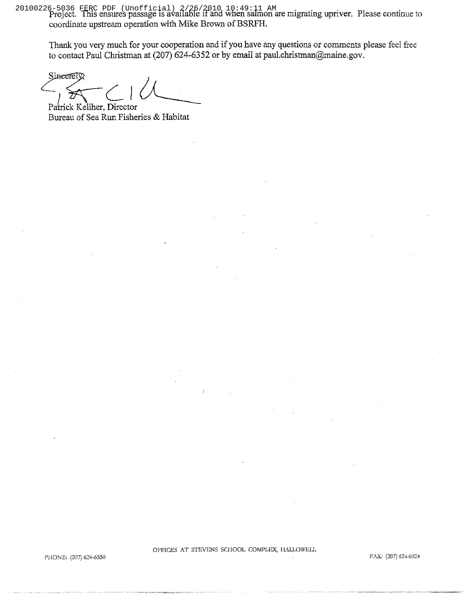Project. This ensures passage is available if and when salmon are migrating **upriver.** Please continue to 20100226-5036 FERC PDF (Unofficial) 2/26/2010 10:49:11 AMcoordinate upstream operation with **Mike** Brown *of* BSRFH.

Thank you very much for your cooperation and if you have any questions or comments please feel fiee to contact Paul Christman at (207) 624-6352 or by email at paul.christman@maine.gov.

*Sineerely*<br>
Patrick Keliher, Director

Bureau of Sea Run Fisheries & Habitat

OFFICES AT STEVENS SCHOOL COMPLEX, HALLOWELL

PHONE: (207) 624-6550

FAX: (207) 624-6024